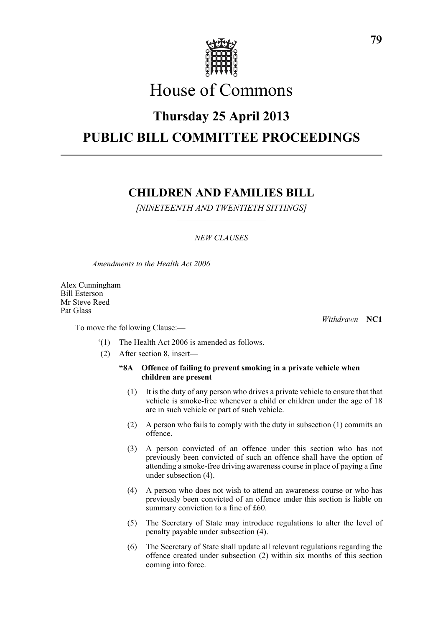

# House of Commons

# **Thursday 25 April 2013**

# **PUBLIC BILL COMMITTEE PROCEEDINGS**

# **CHILDREN AND FAMILIES BILL**

*[NINETEENTH AND TWENTIETH SITTINGS]*

# *NEW CLAUSES*

*Amendments to the Health Act 2006*

Alex Cunningham Bill Esterson Mr Steve Reed Pat Glass

To move the following Clause:—

*Withdrawn* **NC1**

- '(1) The Health Act 2006 is amended as follows.
- (2) After section 8, insert—

# **"8A Offence of failing to prevent smoking in a private vehicle when children are present**

- (1) It is the duty of any person who drives a private vehicle to ensure that that vehicle is smoke-free whenever a child or children under the age of 18 are in such vehicle or part of such vehicle.
- (2) A person who fails to comply with the duty in subsection (1) commits an offence.
- (3) A person convicted of an offence under this section who has not previously been convicted of such an offence shall have the option of attending a smoke-free driving awareness course in place of paying a fine under subsection (4).
- (4) A person who does not wish to attend an awareness course or who has previously been convicted of an offence under this section is liable on summary conviction to a fine of £60.
- (5) The Secretary of State may introduce regulations to alter the level of penalty payable under subsection (4).
- (6) The Secretary of State shall update all relevant regulations regarding the offence created under subsection (2) within six months of this section coming into force.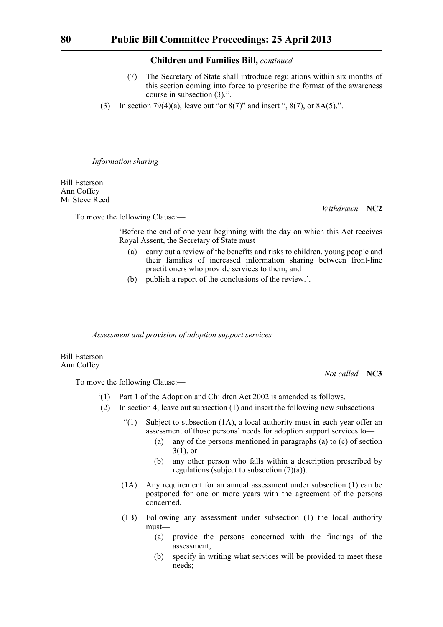- (7) The Secretary of State shall introduce regulations within six months of this section coming into force to prescribe the format of the awareness course in subsection (3).".
- (3) In section 79(4)(a), leave out "or  $8(7)$ " and insert ",  $8(7)$ , or  $8A(5)$ .".

*Information sharing*

Bill Esterson Ann Coffey Mr Steve Reed

To move the following Clause:—

*Withdrawn* **NC2**

'Before the end of one year beginning with the day on which this Act receives Royal Assent, the Secretary of State must—

- (a) carry out a review of the benefits and risks to children, young people and their families of increased information sharing between front-line practitioners who provide services to them; and
- (b) publish a report of the conclusions of the review.'.

*Assessment and provision of adoption support services*

Bill Esterson Ann Coffey

*Not called* **NC3**

- '(1) Part 1 of the Adoption and Children Act 2002 is amended as follows.
- (2) In section 4, leave out subsection (1) and insert the following new subsections—
	- $(1)$  Subject to subsection (1A), a local authority must in each year offer an assessment of those persons' needs for adoption support services to—
		- (a) any of the persons mentioned in paragraphs (a) to (c) of section  $3(1)$ , or
		- (b) any other person who falls within a description prescribed by regulations (subject to subsection (7)(a)).
	- (1A) Any requirement for an annual assessment under subsection (1) can be postponed for one or more years with the agreement of the persons concerned.
	- (1B) Following any assessment under subsection (1) the local authority must—
		- (a) provide the persons concerned with the findings of the assessment;
		- (b) specify in writing what services will be provided to meet these needs;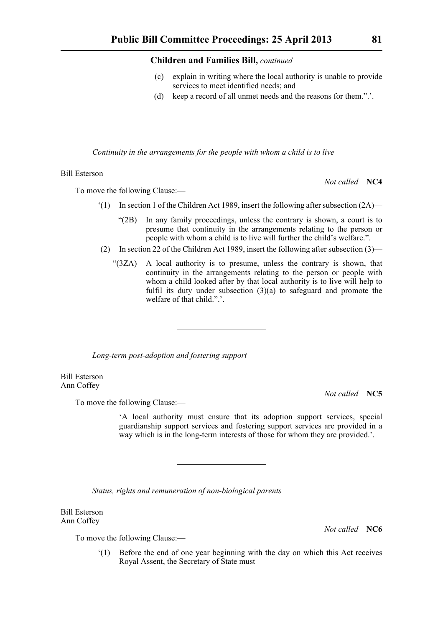- (c) explain in writing where the local authority is unable to provide services to meet identified needs; and
- (d) keep a record of all unmet needs and the reasons for them.".'.

*Continuity in the arrangements for the people with whom a child is to live*

### Bill Esterson

To move the following Clause:—

- $(1)$  In section 1 of the Children Act 1989, insert the following after subsection  $(2A)$ 
	- "(2B) In any family proceedings, unless the contrary is shown, a court is to presume that continuity in the arrangements relating to the person or people with whom a child is to live will further the child's welfare.".
- (2) In section 22 of the Children Act 1989, insert the following after subsection (3)—
	- "(3ZA) A local authority is to presume, unless the contrary is shown, that continuity in the arrangements relating to the person or people with whom a child looked after by that local authority is to live will help to fulfil its duty under subsection  $(3)(a)$  to safeguard and promote the welfare of that child."

*Long-term post-adoption and fostering support*

Bill Esterson Ann Coffey

To move the following Clause:—

'A local authority must ensure that its adoption support services, special guardianship support services and fostering support services are provided in a way which is in the long-term interests of those for whom they are provided.'.

*Status, rights and remuneration of non-biological parents*

Bill Esterson Ann Coffey

To move the following Clause:—

'(1) Before the end of one year beginning with the day on which this Act receives Royal Assent, the Secretary of State must—

*Not called* **NC5**

*Not called* **NC6**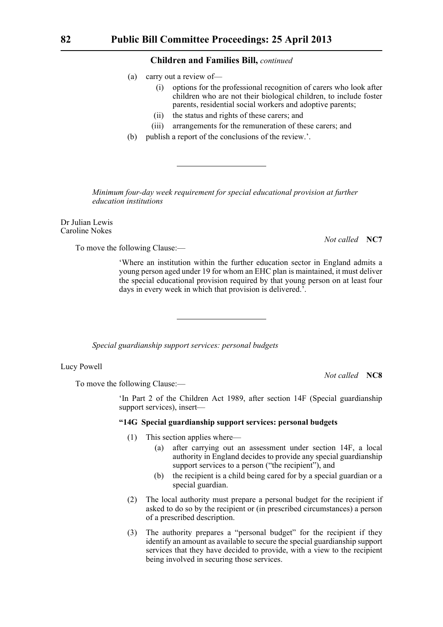- (a) carry out a review of—
	- (i) options for the professional recognition of carers who look after children who are not their biological children, to include foster parents, residential social workers and adoptive parents;
	- (ii) the status and rights of these carers; and
	- (iii) arrangements for the remuneration of these carers; and
- (b) publish a report of the conclusions of the review.'.

*Minimum four-day week requirement for special educational provision at further education institutions*

Dr Julian Lewis Caroline Nokes

To move the following Clause:—

*Not called* **NC7**

'Where an institution within the further education sector in England admits a young person aged under 19 for whom an EHC plan is maintained, it must deliver the special educational provision required by that young person on at least four days in every week in which that provision is delivered.'.

*Special guardianship support services: personal budgets*

Lucy Powell

*Not called* **NC8**

To move the following Clause:—

'In Part 2 of the Children Act 1989, after section 14F (Special guardianship support services), insert—

# **"14G Special guardianship support services: personal budgets**

- (1) This section applies where—
	- (a) after carrying out an assessment under section 14F, a local authority in England decides to provide any special guardianship support services to a person ("the recipient"), and
	- (b) the recipient is a child being cared for by a special guardian or a special guardian.
- (2) The local authority must prepare a personal budget for the recipient if asked to do so by the recipient or (in prescribed circumstances) a person of a prescribed description.
- (3) The authority prepares a "personal budget" for the recipient if they identify an amount as available to secure the special guardianship support services that they have decided to provide, with a view to the recipient being involved in securing those services.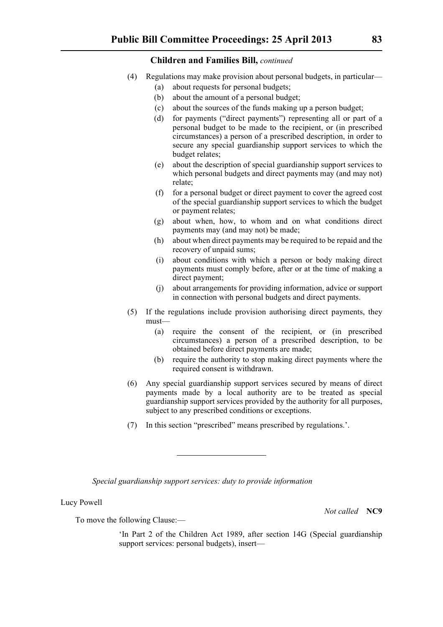- (4) Regulations may make provision about personal budgets, in particular—
	- (a) about requests for personal budgets;
	- (b) about the amount of a personal budget;
	- (c) about the sources of the funds making up a person budget;
	- (d) for payments ("direct payments") representing all or part of a personal budget to be made to the recipient, or (in prescribed circumstances) a person of a prescribed description, in order to secure any special guardianship support services to which the budget relates;
	- (e) about the description of special guardianship support services to which personal budgets and direct payments may (and may not) relate;
	- (f) for a personal budget or direct payment to cover the agreed cost of the special guardianship support services to which the budget or payment relates;
	- (g) about when, how, to whom and on what conditions direct payments may (and may not) be made;
	- (h) about when direct payments may be required to be repaid and the recovery of unpaid sums;
	- (i) about conditions with which a person or body making direct payments must comply before, after or at the time of making a direct payment;
	- (j) about arrangements for providing information, advice or support in connection with personal budgets and direct payments.
- (5) If the regulations include provision authorising direct payments, they must—
	- (a) require the consent of the recipient, or (in prescribed circumstances) a person of a prescribed description, to be obtained before direct payments are made;
	- (b) require the authority to stop making direct payments where the required consent is withdrawn.
- (6) Any special guardianship support services secured by means of direct payments made by a local authority are to be treated as special guardianship support services provided by the authority for all purposes, subject to any prescribed conditions or exceptions.
- (7) In this section "prescribed" means prescribed by regulations.'.

*Special guardianship support services: duty to provide information*

Lucy Powell

*Not called* **NC9**

To move the following Clause:—

'In Part 2 of the Children Act 1989, after section 14G (Special guardianship support services: personal budgets), insert—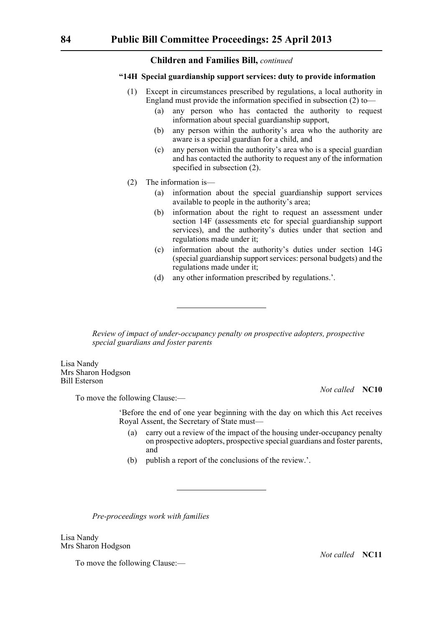## **"14H Special guardianship support services: duty to provide information**

- (1) Except in circumstances prescribed by regulations, a local authority in England must provide the information specified in subsection (2) to—
	- (a) any person who has contacted the authority to request information about special guardianship support,
	- (b) any person within the authority's area who the authority are aware is a special guardian for a child, and
	- (c) any person within the authority's area who is a special guardian and has contacted the authority to request any of the information specified in subsection (2).
- (2) The information is—
	- (a) information about the special guardianship support services available to people in the authority's area;
	- (b) information about the right to request an assessment under section 14F (assessments etc for special guardianship support services), and the authority's duties under that section and regulations made under it;
	- (c) information about the authority's duties under section 14G (special guardianship support services: personal budgets) and the regulations made under it;
	- (d) any other information prescribed by regulations.'.

*Review of impact of under-occupancy penalty on prospective adopters, prospective special guardians and foster parents*

Lisa Nandy Mrs Sharon Hodgson Bill Esterson

*Not called* **NC10**

To move the following Clause:—

'Before the end of one year beginning with the day on which this Act receives Royal Assent, the Secretary of State must—

- (a) carry out a review of the impact of the housing under-occupancy penalty on prospective adopters, prospective special guardians and foster parents, and
- (b) publish a report of the conclusions of the review.'.

*Pre-proceedings work with families*

Lisa Nandy Mrs Sharon Hodgson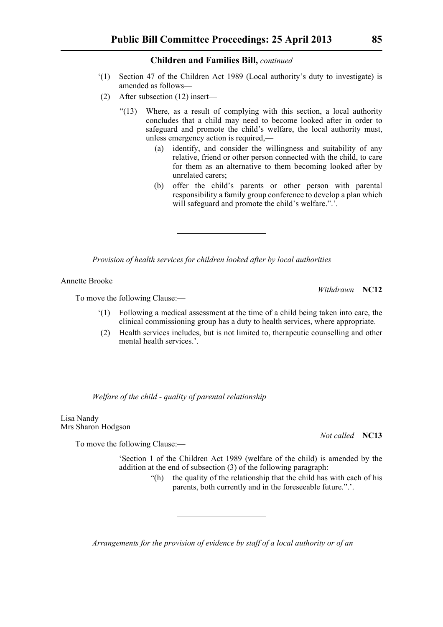- '(1) Section 47 of the Children Act 1989 (Local authority's duty to investigate) is amended as follows—
- (2) After subsection (12) insert—
	- "(13) Where, as a result of complying with this section, a local authority concludes that a child may need to become looked after in order to safeguard and promote the child's welfare, the local authority must, unless emergency action is required,—
		- (a) identify, and consider the willingness and suitability of any relative, friend or other person connected with the child, to care for them as an alternative to them becoming looked after by unrelated carers;
		- (b) offer the child's parents or other person with parental responsibility a family group conference to develop a plan which will safeguard and promote the child's welfare.".'.

*Provision of health services for children looked after by local authorities*

Annette Brooke

To move the following Clause:—

- '(1) Following a medical assessment at the time of a child being taken into care, the clinical commissioning group has a duty to health services, where appropriate.
- (2) Health services includes, but is not limited to, therapeutic counselling and other mental health services.'.

*Welfare of the child - quality of parental relationship*

Lisa Nandy Mrs Sharon Hodgson

To move the following Clause:—

'Section 1 of the Children Act 1989 (welfare of the child) is amended by the addition at the end of subsection (3) of the following paragraph:

"(h) the quality of the relationship that the child has with each of his parents, both currently and in the foreseeable future.".'.

*Arrangements for the provision of evidence by staff of a local authority or of an* 

*Not called* **NC13**

*Withdrawn* **NC12**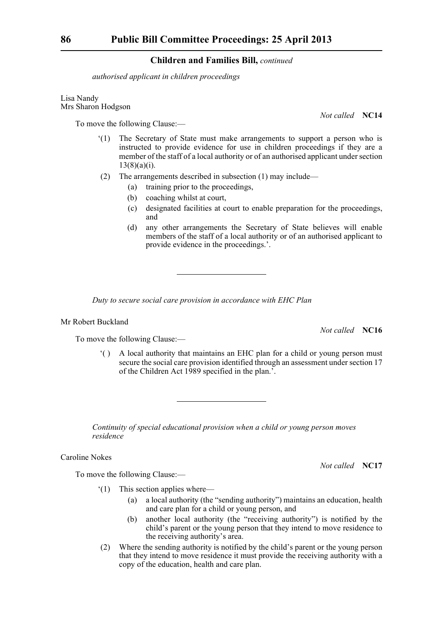*authorised applicant in children proceedings*

Lisa Nandy Mrs Sharon Hodgson

To move the following Clause:—

- '(1) The Secretary of State must make arrangements to support a person who is instructed to provide evidence for use in children proceedings if they are a member of the staff of a local authority or of an authorised applicant under section  $13(8)(a)(i)$ .
- (2) The arrangements described in subsection (1) may include—
	- (a) training prior to the proceedings,
	- (b) coaching whilst at court,
	- (c) designated facilities at court to enable preparation for the proceedings, and
	- (d) any other arrangements the Secretary of State believes will enable members of the staff of a local authority or of an authorised applicant to provide evidence in the proceedings.'.

*Duty to secure social care provision in accordance with EHC Plan*

Mr Robert Buckland

*Not called* **NC16**

To move the following Clause:—

'( ) A local authority that maintains an EHC plan for a child or young person must secure the social care provision identified through an assessment under section 17 of the Children Act 1989 specified in the plan.'.

*Continuity of special educational provision when a child or young person moves residence*

Caroline Nokes

To move the following Clause:—

'(1) This section applies where—

- (a) a local authority (the "sending authority") maintains an education, health and care plan for a child or young person, and
- (b) another local authority (the "receiving authority") is notified by the child's parent or the young person that they intend to move residence to the receiving authority's area.
- (2) Where the sending authority is notified by the child's parent or the young person that they intend to move residence it must provide the receiving authority with a copy of the education, health and care plan.

*Not called* **NC14**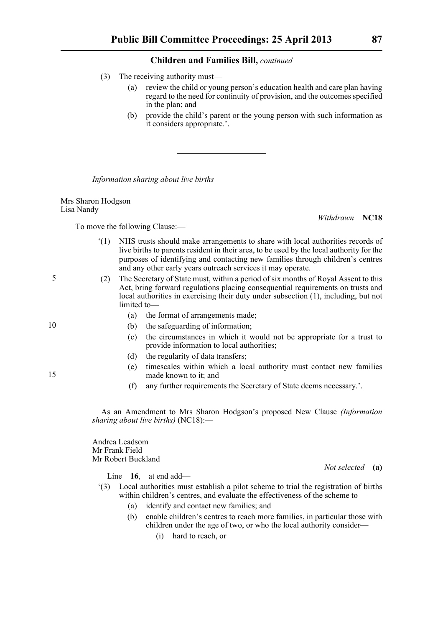- (3) The receiving authority must—
	- (a) review the child or young person's education health and care plan having regard to the need for continuity of provision, and the outcomes specified in the plan; and
	- (b) provide the child's parent or the young person with such information as it considers appropriate.'.

*Information sharing about live births*

Mrs Sharon Hodgson Lisa Nandy

To move the following Clause:—

- *Withdrawn* **NC18**
- '(1) NHS trusts should make arrangements to share with local authorities records of live births to parents resident in their area, to be used by the local authority for the purposes of identifying and contacting new families through children's centres and any other early years outreach services it may operate.
- (2) The Secretary of State must, within a period of six months of Royal Assent to this Act, bring forward regulations placing consequential requirements on trusts and local authorities in exercising their duty under subsection (1), including, but not limited to—
	- (a) the format of arrangements made;
	- (b) the safeguarding of information;
	- (c) the circumstances in which it would not be appropriate for a trust to provide information to local authorities;
	- (d) the regularity of data transfers;
	- (e) timescales within which a local authority must contact new families made known to it; and
	- (f) any further requirements the Secretary of State deems necessary.'.

As an Amendment to Mrs Sharon Hodgson's proposed New Clause *(Information sharing about live births)* (NC18):—

Andrea Leadsom Mr Frank Field Mr Robert Buckland

Line **16**, at end add—

- '(3) Local authorities must establish a pilot scheme to trial the registration of births within children's centres, and evaluate the effectiveness of the scheme to—
	- (a) identify and contact new families; and
	- (b) enable children's centres to reach more families, in particular those with children under the age of two, or who the local authority consider—
		- (i) hard to reach, or

15

- 
- *Not selected* **(a)**

5

10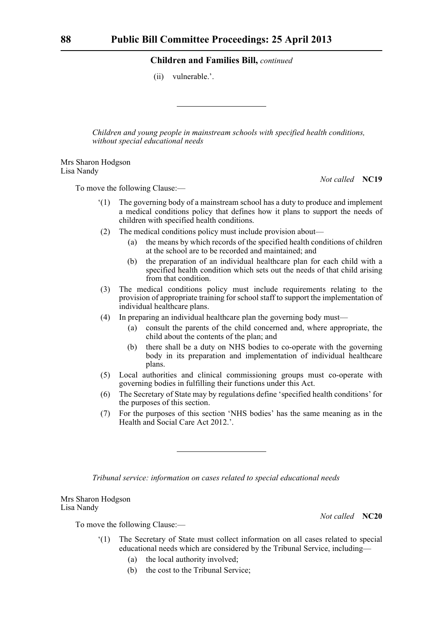(ii) vulnerable.'.

*Children and young people in mainstream schools with specified health conditions, without special educational needs*

Mrs Sharon Hodgson Lisa Nandy

*Not called* **NC19**

To move the following Clause:—

- '(1) The governing body of a mainstream school has a duty to produce and implement a medical conditions policy that defines how it plans to support the needs of children with specified health conditions.
- (2) The medical conditions policy must include provision about—
	- (a) the means by which records of the specified health conditions of children at the school are to be recorded and maintained; and
	- (b) the preparation of an individual healthcare plan for each child with a specified health condition which sets out the needs of that child arising from that condition.
- (3) The medical conditions policy must include requirements relating to the provision of appropriate training for school staff to support the implementation of individual healthcare plans.
- (4) In preparing an individual healthcare plan the governing body must—
	- (a) consult the parents of the child concerned and, where appropriate, the child about the contents of the plan; and
	- (b) there shall be a duty on NHS bodies to co-operate with the governing body in its preparation and implementation of individual healthcare plans.
- (5) Local authorities and clinical commissioning groups must co-operate with governing bodies in fulfilling their functions under this Act.
- (6) The Secretary of State may by regulations define 'specified health conditions' for the purposes of this section.
- (7) For the purposes of this section 'NHS bodies' has the same meaning as in the Health and Social Care Act 2012.'.

*Tribunal service: information on cases related to special educational needs*

Mrs Sharon Hodgson Lisa Nandy

*Not called* **NC20**

- '(1) The Secretary of State must collect information on all cases related to special educational needs which are considered by the Tribunal Service, including—
	- (a) the local authority involved;
	- (b) the cost to the Tribunal Service;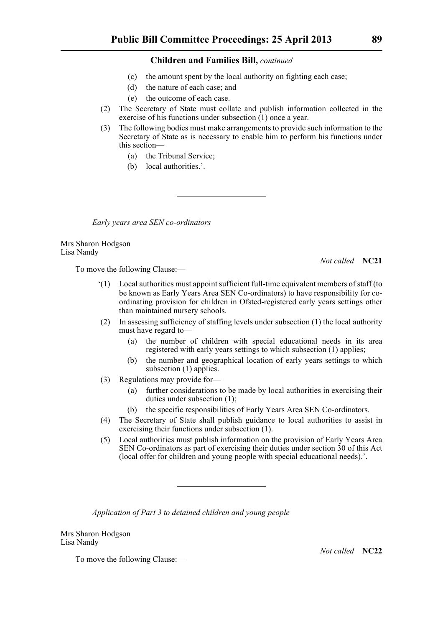- (c) the amount spent by the local authority on fighting each case;
- (d) the nature of each case; and
- (e) the outcome of each case.
- (2) The Secretary of State must collate and publish information collected in the exercise of his functions under subsection  $(1)$  once a year.
- (3) The following bodies must make arrangements to provide such information to the Secretary of State as is necessary to enable him to perform his functions under this section—
	- (a) the Tribunal Service;
	- (b) local authorities.'.

*Early years area SEN co-ordinators*

Mrs Sharon Hodgson Lisa Nandy

To move the following Clause:—

*Not called* **NC21**

- '(1) Local authorities must appoint sufficient full-time equivalent members of staff (to be known as Early Years Area SEN Co-ordinators) to have responsibility for coordinating provision for children in Ofsted-registered early years settings other than maintained nursery schools.
- (2) In assessing sufficiency of staffing levels under subsection (1) the local authority must have regard to—
	- (a) the number of children with special educational needs in its area registered with early years settings to which subsection (1) applies;
	- (b) the number and geographical location of early years settings to which subsection (1) applies.
- (3) Regulations may provide for—
	- (a) further considerations to be made by local authorities in exercising their duties under subsection (1);
	- (b) the specific responsibilities of Early Years Area SEN Co-ordinators.
- (4) The Secretary of State shall publish guidance to local authorities to assist in exercising their functions under subsection (1).
- (5) Local authorities must publish information on the provision of Early Years Area SEN Co-ordinators as part of exercising their duties under section 30 of this Act (local offer for children and young people with special educational needs).'.

*Application of Part 3 to detained children and young people*

Mrs Sharon Hodgson Lisa Nandy

To move the following Clause:—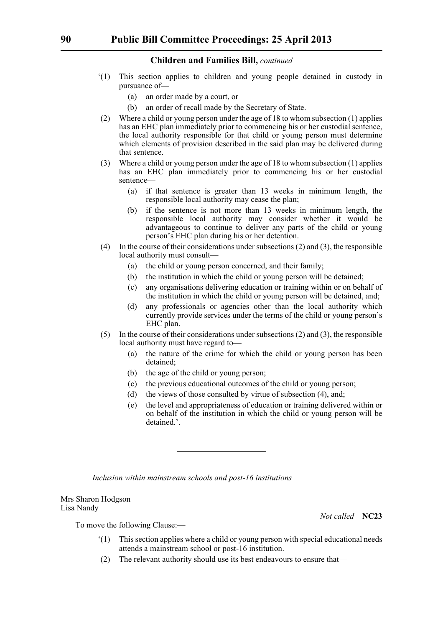- '(1) This section applies to children and young people detained in custody in pursuance of—
	- (a) an order made by a court, or
	- (b) an order of recall made by the Secretary of State.
- (2) Where a child or young person under the age of 18 to whom subsection (1) applies has an EHC plan immediately prior to commencing his or her custodial sentence, the local authority responsible for that child or young person must determine which elements of provision described in the said plan may be delivered during that sentence.
- (3) Where a child or young person under the age of 18 to whom subsection (1) applies has an EHC plan immediately prior to commencing his or her custodial sentence—
	- (a) if that sentence is greater than 13 weeks in minimum length, the responsible local authority may cease the plan;
	- (b) if the sentence is not more than 13 weeks in minimum length, the responsible local authority may consider whether it would be advantageous to continue to deliver any parts of the child or young person's EHC plan during his or her detention.
- (4) In the course of their considerations under subsections (2) and (3), the responsible local authority must consult—
	- (a) the child or young person concerned, and their family;
	- (b) the institution in which the child or young person will be detained;
	- (c) any organisations delivering education or training within or on behalf of the institution in which the child or young person will be detained, and;
	- (d) any professionals or agencies other than the local authority which currently provide services under the terms of the child or young person's EHC plan.
- (5) In the course of their considerations under subsections (2) and (3), the responsible local authority must have regard to—
	- (a) the nature of the crime for which the child or young person has been detained;
	- (b) the age of the child or young person;
	- (c) the previous educational outcomes of the child or young person;
	- (d) the views of those consulted by virtue of subsection (4), and;
	- (e) the level and appropriateness of education or training delivered within or on behalf of the institution in which the child or young person will be detained.'.

*Inclusion within mainstream schools and post-16 institutions*

Mrs Sharon Hodgson Lisa Nandy

*Not called* **NC23**

- '(1) This section applies where a child or young person with special educational needs attends a mainstream school or post-16 institution.
- (2) The relevant authority should use its best endeavours to ensure that—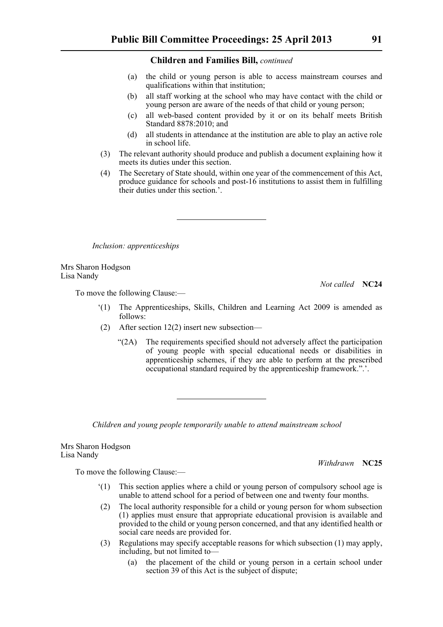- (a) the child or young person is able to access mainstream courses and qualifications within that institution;
- (b) all staff working at the school who may have contact with the child or young person are aware of the needs of that child or young person;
- (c) all web-based content provided by it or on its behalf meets British Standard 8878:2010; and
- (d) all students in attendance at the institution are able to play an active role in school life.
- (3) The relevant authority should produce and publish a document explaining how it meets its duties under this section.
- (4) The Secretary of State should, within one year of the commencement of this Act, produce guidance for schools and post-16 institutions to assist them in fulfilling their duties under this section.'.

*Inclusion: apprenticeships*

Mrs Sharon Hodgson Lisa Nandy

*Not called* **NC24**

To move the following Clause:—

- '(1) The Apprenticeships, Skills, Children and Learning Act 2009 is amended as follows:
- (2) After section 12(2) insert new subsection—
	- "(2A) The requirements specified should not adversely affect the participation of young people with special educational needs or disabilities in apprenticeship schemes, if they are able to perform at the prescribed occupational standard required by the apprenticeship framework.".'.

*Children and young people temporarily unable to attend mainstream school*

Mrs Sharon Hodgson Lisa Nandy

*Withdrawn* **NC25**

- '(1) This section applies where a child or young person of compulsory school age is unable to attend school for a period of between one and twenty four months.
- (2) The local authority responsible for a child or young person for whom subsection (1) applies must ensure that appropriate educational provision is available and provided to the child or young person concerned, and that any identified health or social care needs are provided for.
- (3) Regulations may specify acceptable reasons for which subsection (1) may apply, including, but not limited to—
	- (a) the placement of the child or young person in a certain school under section 39 of this Act is the subject of dispute;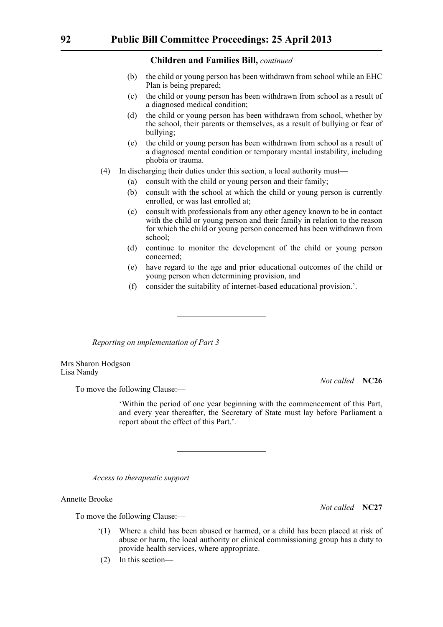- (b) the child or young person has been withdrawn from school while an EHC Plan is being prepared;
- (c) the child or young person has been withdrawn from school as a result of a diagnosed medical condition;
- (d) the child or young person has been withdrawn from school, whether by the school, their parents or themselves, as a result of bullying or fear of bullying;
- (e) the child or young person has been withdrawn from school as a result of a diagnosed mental condition or temporary mental instability, including phobia or trauma.
- (4) In discharging their duties under this section, a local authority must—
	- (a) consult with the child or young person and their family;
	- (b) consult with the school at which the child or young person is currently enrolled, or was last enrolled at;
	- (c) consult with professionals from any other agency known to be in contact with the child or young person and their family in relation to the reason for which the child or young person concerned has been withdrawn from school;
	- (d) continue to monitor the development of the child or young person concerned;
	- (e) have regard to the age and prior educational outcomes of the child or young person when determining provision, and
	- (f) consider the suitability of internet-based educational provision.'.

*Reporting on implementation of Part 3*

Mrs Sharon Hodgson Lisa Nandy

*Not called* **NC26**

To move the following Clause:—

'Within the period of one year beginning with the commencement of this Part, and every year thereafter, the Secretary of State must lay before Parliament a report about the effect of this Part.'.

*Access to therapeutic support*

Annette Brooke

To move the following Clause:—

- '(1) Where a child has been abused or harmed, or a child has been placed at risk of abuse or harm, the local authority or clinical commissioning group has a duty to provide health services, where appropriate.
- (2) In this section—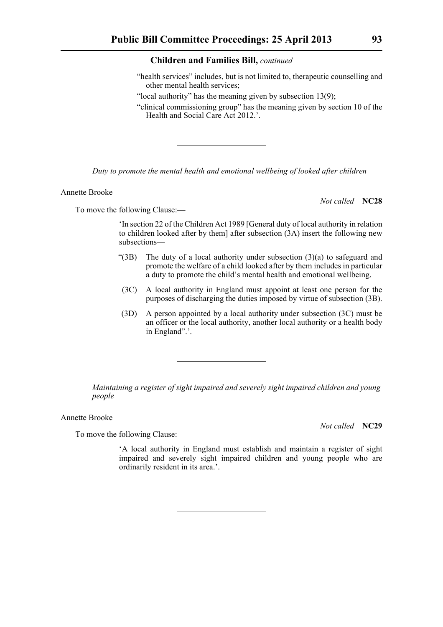- "health services" includes, but is not limited to, therapeutic counselling and other mental health services;
- "local authority" has the meaning given by subsection 13(9);
- "clinical commissioning group" has the meaning given by section 10 of the Health and Social Care Act 2012.'.

*Duty to promote the mental health and emotional wellbeing of looked after children*

Annette Brooke

*Not called* **NC28**

To move the following Clause:—

'In section 22 of the Children Act 1989 [General duty of local authority in relation to children looked after by them] after subsection (3A) insert the following new subsections—

- "(3B) The duty of a local authority under subsection (3)(a) to safeguard and promote the welfare of a child looked after by them includes in particular a duty to promote the child's mental health and emotional wellbeing.
- (3C) A local authority in England must appoint at least one person for the purposes of discharging the duties imposed by virtue of subsection (3B).
- (3D) A person appointed by a local authority under subsection (3C) must be an officer or the local authority, another local authority or a health body in England".'.

*Maintaining a register of sight impaired and severely sight impaired children and young people*

Annette Brooke

To move the following Clause:—

*Not called* **NC29**

'A local authority in England must establish and maintain a register of sight impaired and severely sight impaired children and young people who are ordinarily resident in its area.'.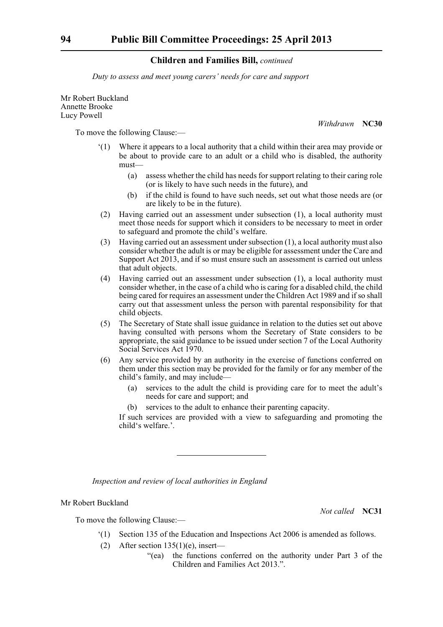*Duty to assess and meet young carers' needs for care and support*

Mr Robert Buckland Annette Brooke Lucy Powell

*Withdrawn* **NC30**

To move the following Clause:—

- '(1) Where it appears to a local authority that a child within their area may provide or be about to provide care to an adult or a child who is disabled, the authority must—
	- (a) assess whether the child has needs for support relating to their caring role (or is likely to have such needs in the future), and
	- (b) if the child is found to have such needs, set out what those needs are (or are likely to be in the future).
- (2) Having carried out an assessment under subsection (1), a local authority must meet those needs for support which it considers to be necessary to meet in order to safeguard and promote the child's welfare.
- (3) Having carried out an assessment under subsection (1), a local authority must also consider whether the adult is or may be eligible for assessment under the Care and Support Act 2013, and if so must ensure such an assessment is carried out unless that adult objects.
- (4) Having carried out an assessment under subsection (1), a local authority must consider whether, in the case of a child who is caring for a disabled child, the child being cared for requires an assessment under the Children Act 1989 and if so shall carry out that assessment unless the person with parental responsibility for that child objects.
- (5) The Secretary of State shall issue guidance in relation to the duties set out above having consulted with persons whom the Secretary of State considers to be appropriate, the said guidance to be issued under section 7 of the Local Authority Social Services Act 1970.
- (6) Any service provided by an authority in the exercise of functions conferred on them under this section may be provided for the family or for any member of the child's family, and may include—
	- (a) services to the adult the child is providing care for to meet the adult's needs for care and support; and
	- (b) services to the adult to enhance their parenting capacity.

If such services are provided with a view to safeguarding and promoting the child's welfare.'.

*Inspection and review of local authorities in England*

# Mr Robert Buckland

To move the following Clause:—

- '(1) Section 135 of the Education and Inspections Act 2006 is amended as follows.
- (2) After section  $135(1)(e)$ , insert—
	- "(ea) the functions conferred on the authority under Part 3 of the Children and Families Act 2013.".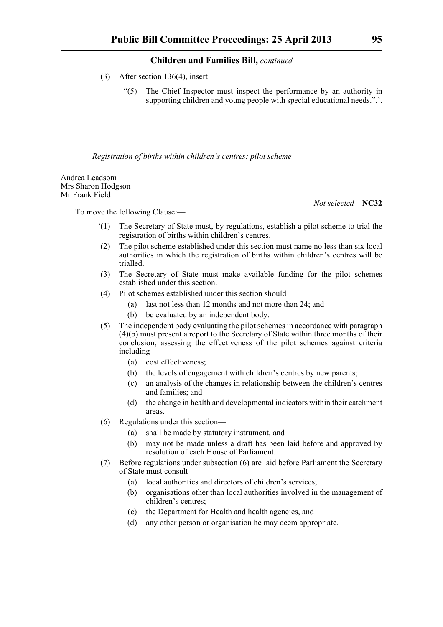- (3) After section 136(4), insert—
	- "(5) The Chief Inspector must inspect the performance by an authority in supporting children and young people with special educational needs.".'.

*Registration of births within children's centres: pilot scheme*

Andrea Leadsom Mrs Sharon Hodgson Mr Frank Field

*Not selected* **NC32**

- '(1) The Secretary of State must, by regulations, establish a pilot scheme to trial the registration of births within children's centres.
- (2) The pilot scheme established under this section must name no less than six local authorities in which the registration of births within children's centres will be trialled.
- (3) The Secretary of State must make available funding for the pilot schemes established under this section.
- (4) Pilot schemes established under this section should—
	- (a) last not less than 12 months and not more than 24; and
	- (b) be evaluated by an independent body.
- (5) The independent body evaluating the pilot schemes in accordance with paragraph (4)(b) must present a report to the Secretary of State within three months of their conclusion, assessing the effectiveness of the pilot schemes against criteria including—
	- (a) cost effectiveness;
	- (b) the levels of engagement with children's centres by new parents;
	- (c) an analysis of the changes in relationship between the children's centres and families; and
	- (d) the change in health and developmental indicators within their catchment areas.
- (6) Regulations under this section—
	- (a) shall be made by statutory instrument, and
	- (b) may not be made unless a draft has been laid before and approved by resolution of each House of Parliament.
- (7) Before regulations under subsection (6) are laid before Parliament the Secretary of State must consult—
	- (a) local authorities and directors of children's services;
	- (b) organisations other than local authorities involved in the management of children's centres;
	- (c) the Department for Health and health agencies, and
	- (d) any other person or organisation he may deem appropriate.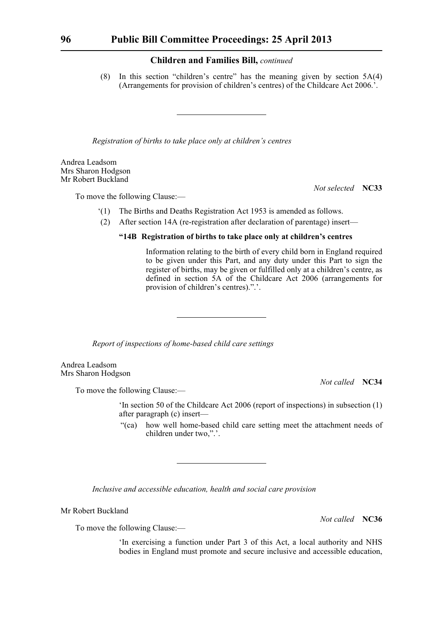(8) In this section "children's centre" has the meaning given by section 5A(4) (Arrangements for provision of children's centres) of the Childcare Act 2006.'.

*Registration of births to take place only at children's centres*

Andrea Leadsom Mrs Sharon Hodgson Mr Robert Buckland

To move the following Clause:—

*Not selected* **NC33**

- '(1) The Births and Deaths Registration Act 1953 is amended as follows.
- (2) After section 14A (re-registration after declaration of parentage) insert—

# **"14B Registration of births to take place only at children's centres**

Information relating to the birth of every child born in England required to be given under this Part, and any duty under this Part to sign the register of births, may be given or fulfilled only at a children's centre, as defined in section 5A of the Childcare Act 2006 (arrangements for provision of children's centres).".'.

*Report of inspections of home-based child care settings*

Andrea Leadsom Mrs Sharon Hodgson

*Not called* **NC34**

To move the following Clause:—

'In section 50 of the Childcare Act 2006 (report of inspections) in subsection (1) after paragraph (c) insert—

"(ca) how well home-based child care setting meet the attachment needs of children under two,".'.

*Inclusive and accessible education, health and social care provision*

Mr Robert Buckland

*Not called* **NC36**

To move the following Clause:—

'In exercising a function under Part 3 of this Act, a local authority and NHS bodies in England must promote and secure inclusive and accessible education,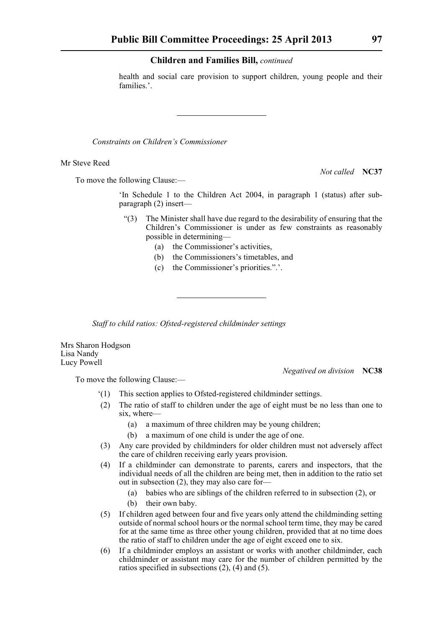health and social care provision to support children, young people and their families.'.

*Constraints on Children's Commissioner*

Mr Steve Reed

To move the following Clause:—

*Not called* **NC37**

'In Schedule 1 to the Children Act 2004, in paragraph 1 (status) after subparagraph (2) insert—

- "(3) The Minister shall have due regard to the desirability of ensuring that the Children's Commissioner is under as few constraints as reasonably possible in determining—
	- (a) the Commissioner's activities,
	- (b) the Commissioners's timetables, and
	- (c) the Commissioner's priorities.".'.

*Staff to child ratios: Ofsted-registered childminder settings*

Mrs Sharon Hodgson Lisa Nandy Lucy Powell

*Negatived on division* **NC38**

- '(1) This section applies to Ofsted-registered childminder settings.
- (2) The ratio of staff to children under the age of eight must be no less than one to six, where—
	- (a) a maximum of three children may be young children;
	- (b) a maximum of one child is under the age of one.
- (3) Any care provided by childminders for older children must not adversely affect the care of children receiving early years provision.
- (4) If a childminder can demonstrate to parents, carers and inspectors, that the individual needs of all the children are being met, then in addition to the ratio set out in subsection (2), they may also care for—
	- (a) babies who are siblings of the children referred to in subsection (2), or
	- (b) their own baby.
- (5) If children aged between four and five years only attend the childminding setting outside of normal school hours or the normal school term time, they may be cared for at the same time as three other young children, provided that at no time does the ratio of staff to children under the age of eight exceed one to six.
- (6) If a childminder employs an assistant or works with another childminder, each childminder or assistant may care for the number of children permitted by the ratios specified in subsections (2), (4) and (5).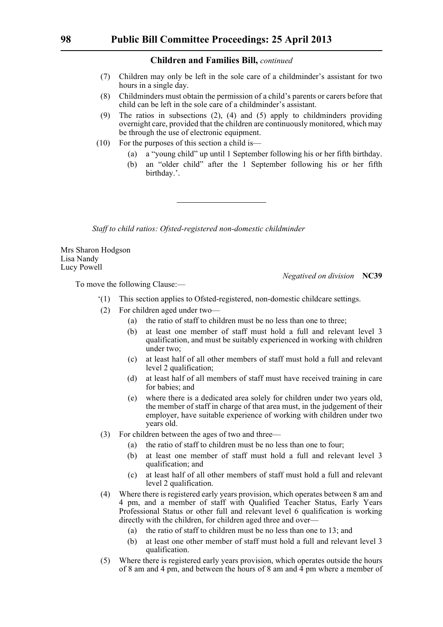- (7) Children may only be left in the sole care of a childminder's assistant for two hours in a single day.
- (8) Childminders must obtain the permission of a child's parents or carers before that child can be left in the sole care of a childminder's assistant.
- (9) The ratios in subsections  $(2)$ ,  $(4)$  and  $(5)$  apply to childminders providing overnight care, provided that the children are continuously monitored, which may be through the use of electronic equipment.
- (10) For the purposes of this section a child is—
	- (a) a "young child" up until 1 September following his or her fifth birthday.
	- (b) an "older child" after the 1 September following his or her fifth birthday.'.

*Staff to child ratios: Ofsted-registered non-domestic childminder*

Mrs Sharon Hodgson Lisa Nandy Lucy Powell

To move the following Clause:—

*Negatived on division* **NC39**

- '(1) This section applies to Ofsted-registered, non-domestic childcare settings.
- (2) For children aged under two—
	- (a) the ratio of staff to children must be no less than one to three;
	- (b) at least one member of staff must hold a full and relevant level 3 qualification, and must be suitably experienced in working with children under two;
	- (c) at least half of all other members of staff must hold a full and relevant level 2 qualification;
	- (d) at least half of all members of staff must have received training in care for babies; and
	- (e) where there is a dedicated area solely for children under two years old, the member of staff in charge of that area must, in the judgement of their employer, have suitable experience of working with children under two years old.
- (3) For children between the ages of two and three—
	- (a) the ratio of staff to children must be no less than one to four;
	- (b) at least one member of staff must hold a full and relevant level 3 qualification; and
	- (c) at least half of all other members of staff must hold a full and relevant level 2 qualification.
- (4) Where there is registered early years provision, which operates between 8 am and 4 pm, and a member of staff with Qualified Teacher Status, Early Years Professional Status or other full and relevant level 6 qualification is working directly with the children, for children aged three and over—
	- (a) the ratio of staff to children must be no less than one to 13; and
	- (b) at least one other member of staff must hold a full and relevant level 3 qualification.
- (5) Where there is registered early years provision, which operates outside the hours of 8 am and 4 pm, and between the hours of 8 am and 4 pm where a member of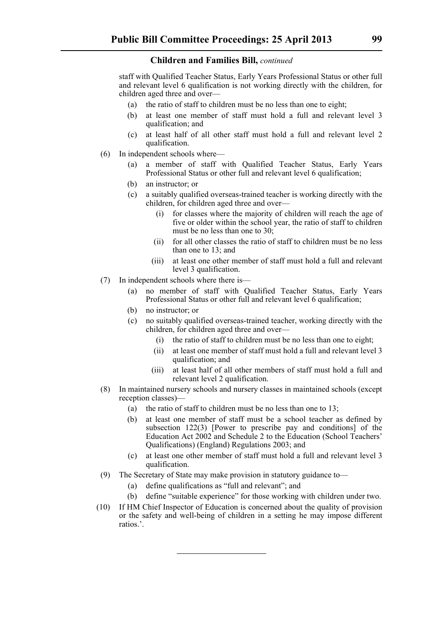staff with Qualified Teacher Status, Early Years Professional Status or other full and relevant level 6 qualification is not working directly with the children, for children aged three and over—

- (a) the ratio of staff to children must be no less than one to eight;
- (b) at least one member of staff must hold a full and relevant level 3 qualification; and
- (c) at least half of all other staff must hold a full and relevant level 2 qualification.
- (6) In independent schools where—
	- (a) a member of staff with Qualified Teacher Status, Early Years Professional Status or other full and relevant level 6 qualification;
	- (b) an instructor; or
	- (c) a suitably qualified overseas-trained teacher is working directly with the children, for children aged three and over—
		- (i) for classes where the majority of children will reach the age of five or older within the school year, the ratio of staff to children must be no less than one to 30;
		- (ii) for all other classes the ratio of staff to children must be no less than one to 13; and
		- (iii) at least one other member of staff must hold a full and relevant level 3 qualification.
- (7) In independent schools where there is—
	- (a) no member of staff with Qualified Teacher Status, Early Years Professional Status or other full and relevant level 6 qualification;
	- (b) no instructor; or
	- (c) no suitably qualified overseas-trained teacher, working directly with the children, for children aged three and over—
		- (i) the ratio of staff to children must be no less than one to eight;
		- (ii) at least one member of staff must hold a full and relevant level 3 qualification; and
		- (iii) at least half of all other members of staff must hold a full and relevant level 2 qualification.
- (8) In maintained nursery schools and nursery classes in maintained schools (except reception classes)—
	- (a) the ratio of staff to children must be no less than one to 13;
	- (b) at least one member of staff must be a school teacher as defined by subsection 122(3) [Power to prescribe pay and conditions] of the Education Act 2002 and Schedule 2 to the Education (School Teachers' Qualifications) (England) Regulations 2003; and
	- (c) at least one other member of staff must hold a full and relevant level 3 qualification.
- (9) The Secretary of State may make provision in statutory guidance to—
	- (a) define qualifications as "full and relevant"; and
	- (b) define "suitable experience" for those working with children under two.
- (10) If HM Chief Inspector of Education is concerned about the quality of provision or the safety and well-being of children in a setting he may impose different ratios.'.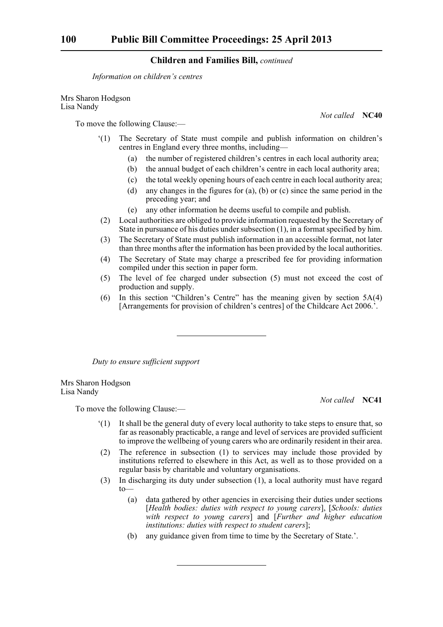*Information on children's centres*

Mrs Sharon Hodgson Lisa Nandy

*Not called* **NC40**

To move the following Clause:—

- '(1) The Secretary of State must compile and publish information on children's centres in England every three months, including—
	- (a) the number of registered children's centres in each local authority area;
	- (b) the annual budget of each children's centre in each local authority area;
	- (c) the total weekly opening hours of each centre in each local authority area;
	- (d) any changes in the figures for (a), (b) or (c) since the same period in the preceding year; and
	- (e) any other information he deems useful to compile and publish.
- (2) Local authorities are obliged to provide information requested by the Secretary of State in pursuance of his duties under subsection (1), in a format specified by him.
- (3) The Secretary of State must publish information in an accessible format, not later than three months after the information has been provided by the local authorities.
- (4) The Secretary of State may charge a prescribed fee for providing information compiled under this section in paper form.
- (5) The level of fee charged under subsection (5) must not exceed the cost of production and supply.
- (6) In this section "Children's Centre" has the meaning given by section 5A(4) [Arrangements for provision of children's centres] of the Childcare Act 2006.'.

*Duty to ensure sufficient support*

Mrs Sharon Hodgson Lisa Nandy

*Not called* **NC41**

- '(1) It shall be the general duty of every local authority to take steps to ensure that, so far as reasonably practicable, a range and level of services are provided sufficient to improve the wellbeing of young carers who are ordinarily resident in their area.
- (2) The reference in subsection (1) to services may include those provided by institutions referred to elsewhere in this Act, as well as to those provided on a regular basis by charitable and voluntary organisations.
- (3) In discharging its duty under subsection (1), a local authority must have regard to—
	- (a) data gathered by other agencies in exercising their duties under sections [*Health bodies: duties with respect to young carers*], [*Schools: duties with respect to young carers*] and [*Further and higher education institutions: duties with respect to student carers*];
	- (b) any guidance given from time to time by the Secretary of State.'.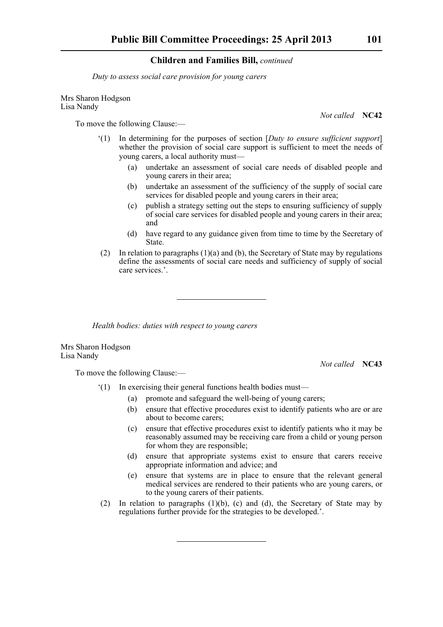*Duty to assess social care provision for young carers*

Mrs Sharon Hodgson Lisa Nandy

To move the following Clause:—

- '(1) In determining for the purposes of section [*Duty to ensure sufficient support*] whether the provision of social care support is sufficient to meet the needs of young carers, a local authority must—
	- (a) undertake an assessment of social care needs of disabled people and young carers in their area;
	- (b) undertake an assessment of the sufficiency of the supply of social care services for disabled people and young carers in their area;
	- (c) publish a strategy setting out the steps to ensuring sufficiency of supply of social care services for disabled people and young carers in their area; and
	- (d) have regard to any guidance given from time to time by the Secretary of State.
- (2) In relation to paragraphs  $(1)(a)$  and (b), the Secretary of State may by regulations define the assessments of social care needs and sufficiency of supply of social care services.'.

*Health bodies: duties with respect to young carers*

Mrs Sharon Hodgson Lisa Nandy

To move the following Clause:—

*Not called* **NC43**

- '(1) In exercising their general functions health bodies must—
	- (a) promote and safeguard the well-being of young carers;
	- (b) ensure that effective procedures exist to identify patients who are or are about to become carers;
	- (c) ensure that effective procedures exist to identify patients who it may be reasonably assumed may be receiving care from a child or young person for whom they are responsible;
	- (d) ensure that appropriate systems exist to ensure that carers receive appropriate information and advice; and
	- (e) ensure that systems are in place to ensure that the relevant general medical services are rendered to their patients who are young carers, or to the young carers of their patients.
- (2) In relation to paragraphs (1)(b), (c) and (d), the Secretary of State may by regulations further provide for the strategies to be developed.'.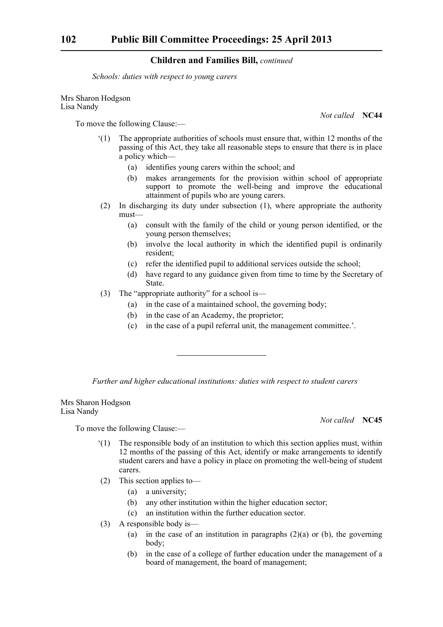*Schools: duties with respect to young carers*

Mrs Sharon Hodgson Lisa Nandy

*Not called* **NC44**

To move the following Clause:—

- '(1) The appropriate authorities of schools must ensure that, within 12 months of the passing of this Act, they take all reasonable steps to ensure that there is in place a policy which—
	- (a) identifies young carers within the school; and
	- (b) makes arrangements for the provision within school of appropriate support to promote the well-being and improve the educational attainment of pupils who are young carers.
- (2) In discharging its duty under subsection (1), where appropriate the authority must—
	- (a) consult with the family of the child or young person identified, or the young person themselves;
	- (b) involve the local authority in which the identified pupil is ordinarily resident;
	- (c) refer the identified pupil to additional services outside the school;
	- (d) have regard to any guidance given from time to time by the Secretary of State.
- (3) The "appropriate authority" for a school is—
	- (a) in the case of a maintained school, the governing body;
	- (b) in the case of an Academy, the proprietor;
	- (c) in the case of a pupil referral unit, the management committee.'.

*Further and higher educational institutions: duties with respect to student carers*

Mrs Sharon Hodgson Lisa Nandy

To move the following Clause:—

- '(1) The responsible body of an institution to which this section applies must, within 12 months of the passing of this Act, identify or make arrangements to identify student carers and have a policy in place on promoting the well-being of student carers.
- (2) This section applies to—
	- (a) a university;
	- (b) any other institution within the higher education sector;
	- (c) an institution within the further education sector.
- (3) A responsible body is—
	- (a) in the case of an institution in paragraphs  $(2)(a)$  or (b), the governing body;
	- (b) in the case of a college of further education under the management of a board of management, the board of management;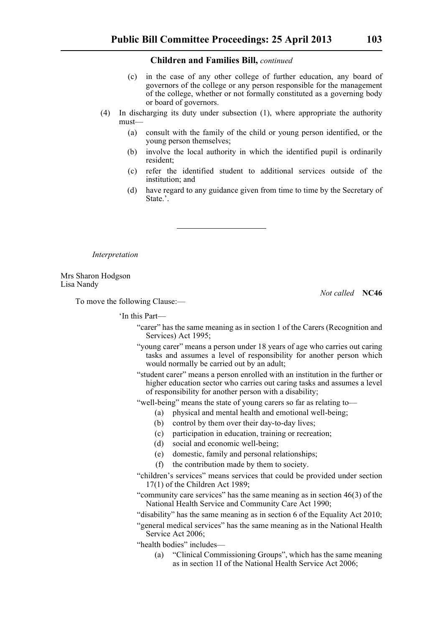- (c) in the case of any other college of further education, any board of governors of the college or any person responsible for the management of the college, whether or not formally constituted as a governing body or board of governors.
- (4) In discharging its duty under subsection (1), where appropriate the authority must—
	- (a) consult with the family of the child or young person identified, or the young person themselves;
	- (b) involve the local authority in which the identified pupil is ordinarily resident;
	- (c) refer the identified student to additional services outside of the institution; and
	- (d) have regard to any guidance given from time to time by the Secretary of State.'.

*Interpretation*

Mrs Sharon Hodgson Lisa Nandy

*Not called* **NC46**

To move the following Clause:—

'In this Part—

- "carer" has the same meaning as in section 1 of the Carers (Recognition and Services) Act 1995;
- "young carer" means a person under 18 years of age who carries out caring tasks and assumes a level of responsibility for another person which would normally be carried out by an adult;
- "student carer" means a person enrolled with an institution in the further or higher education sector who carries out caring tasks and assumes a level of responsibility for another person with a disability;
- "well-being" means the state of young carers so far as relating to—
	- (a) physical and mental health and emotional well-being;
		- (b) control by them over their day-to-day lives;
		- (c) participation in education, training or recreation;
		- (d) social and economic well-being;
		- (e) domestic, family and personal relationships;
		- (f) the contribution made by them to society.
- "children's services" means services that could be provided under section 17(1) of the Children Act 1989;
- "community care services" has the same meaning as in section 46(3) of the National Health Service and Community Care Act 1990;
- "disability" has the same meaning as in section 6 of the Equality Act 2010;
- "general medical services" has the same meaning as in the National Health Service Act 2006;
- "health bodies" includes—
	- (a) "Clinical Commissioning Groups", which has the same meaning as in section 1I of the National Health Service Act 2006;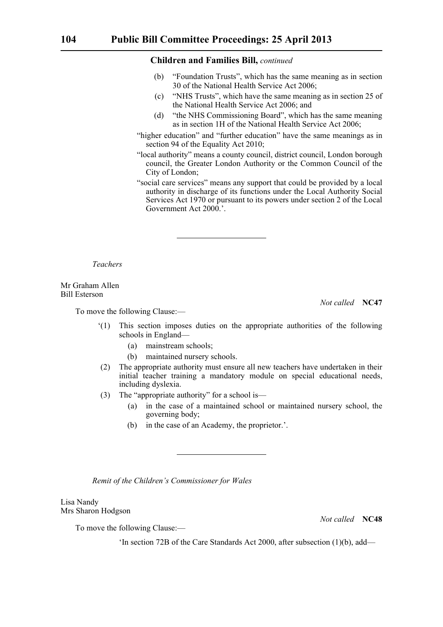- (b) "Foundation Trusts", which has the same meaning as in section 30 of the National Health Service Act 2006;
- (c) "NHS Trusts", which have the same meaning as in section 25 of the National Health Service Act 2006; and
- (d) "the NHS Commissioning Board", which has the same meaning as in section 1H of the National Health Service Act 2006;
- "higher education" and "further education" have the same meanings as in section 94 of the Equality Act 2010;
- "local authority" means a county council, district council, London borough council, the Greater London Authority or the Common Council of the City of London;
- "social care services" means any support that could be provided by a local authority in discharge of its functions under the Local Authority Social Services Act 1970 or pursuant to its powers under section 2 of the Local Government Act 2000.'.

*Teachers*

Mr Graham Allen Bill Esterson

To move the following Clause:—

*Not called* **NC47**

- '(1) This section imposes duties on the appropriate authorities of the following schools in England—
	- (a) mainstream schools;
	- (b) maintained nursery schools.
- (2) The appropriate authority must ensure all new teachers have undertaken in their initial teacher training a mandatory module on special educational needs, including dyslexia.
- (3) The "appropriate authority" for a school is—
	- (a) in the case of a maintained school or maintained nursery school, the governing body;
	- (b) in the case of an Academy, the proprietor.'.

*Remit of the Children's Commissioner for Wales*

Lisa Nandy Mrs Sharon Hodgson

*Not called* **NC48**

To move the following Clause:—

'In section 72B of the Care Standards Act 2000, after subsection (1)(b), add—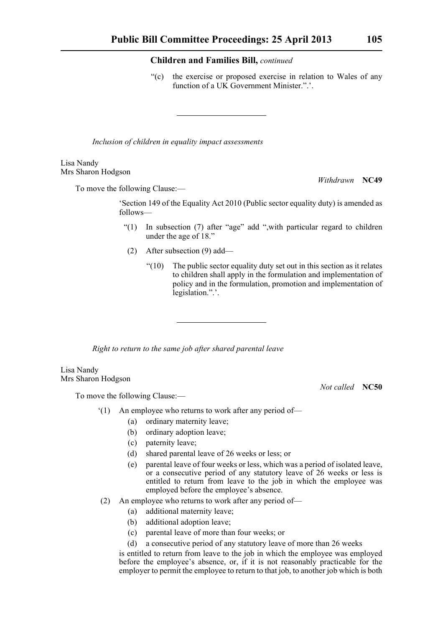"(c) the exercise or proposed exercise in relation to Wales of any function of a UK Government Minister.".'.

*Inclusion of children in equality impact assessments*

#### Lisa Nandy Mrs Sharon Hodgson

To move the following Clause:—

'Section 149 of the Equality Act 2010 (Public sector equality duty) is amended as follows—

- "(1) In subsection (7) after "age" add ",with particular regard to children under the age of 18."
- (2) After subsection (9) add—
	- $"(10)$  The public sector equality duty set out in this section as it relates to children shall apply in the formulation and implementation of policy and in the formulation, promotion and implementation of legislation.".'.

*Right to return to the same job after shared parental leave* 

Lisa Nandy Mrs Sharon Hodgson

To move the following Clause:—

- '(1) An employee who returns to work after any period of—
	- (a) ordinary maternity leave;
	- (b) ordinary adoption leave;
	- (c) paternity leave;
	- (d) shared parental leave of 26 weeks or less; or
	- (e) parental leave of four weeks or less, which was a period of isolated leave, or a consecutive period of any statutory leave of 26 weeks or less is entitled to return from leave to the job in which the employee was employed before the employee's absence.
- (2) An employee who returns to work after any period of—
	- (a) additional maternity leave;
	- (b) additional adoption leave;
	- (c) parental leave of more than four weeks; or
	- (d) a consecutive period of any statutory leave of more than 26 weeks

is entitled to return from leave to the job in which the employee was employed before the employee's absence, or, if it is not reasonably practicable for the employer to permit the employee to return to that job, to another job which is both

*Withdrawn* **NC49**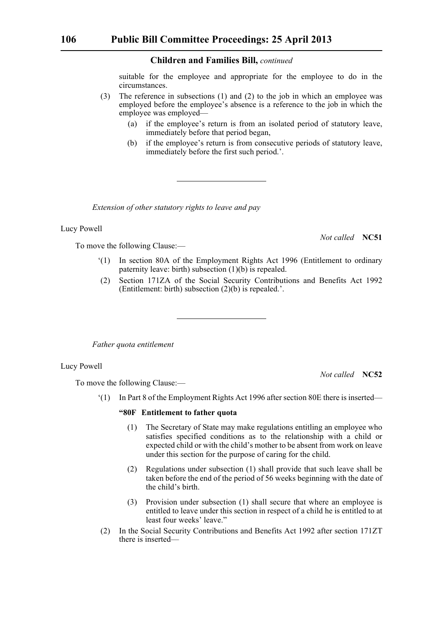suitable for the employee and appropriate for the employee to do in the circumstances.

- (3) The reference in subsections (1) and (2) to the job in which an employee was employed before the employee's absence is a reference to the job in which the employee was employed—
	- (a) if the employee's return is from an isolated period of statutory leave, immediately before that period began,
	- (b) if the employee's return is from consecutive periods of statutory leave, immediately before the first such period.'.

*Extension of other statutory rights to leave and pay*

#### Lucy Powell

To move the following Clause:—

*Not called* **NC51**

- '(1) In section 80A of the Employment Rights Act 1996 (Entitlement to ordinary paternity leave: birth) subsection (1)(b) is repealed.
- (2) Section 171ZA of the Social Security Contributions and Benefits Act 1992 (Entitlement: birth) subsection (2)(b) is repealed.'.

*Father quota entitlement*

# Lucy Powell

*Not called* **NC52**

To move the following Clause:—

'(1) In Part 8 of the Employment Rights Act 1996 after section 80E there is inserted—

# **"80F Entitlement to father quota**

- (1) The Secretary of State may make regulations entitling an employee who satisfies specified conditions as to the relationship with a child or expected child or with the child's mother to be absent from work on leave under this section for the purpose of caring for the child.
- (2) Regulations under subsection (1) shall provide that such leave shall be taken before the end of the period of 56 weeks beginning with the date of the child's birth.
- (3) Provision under subsection (1) shall secure that where an employee is entitled to leave under this section in respect of a child he is entitled to at least four weeks' leave."
- (2) In the Social Security Contributions and Benefits Act 1992 after section 171ZT there is inserted—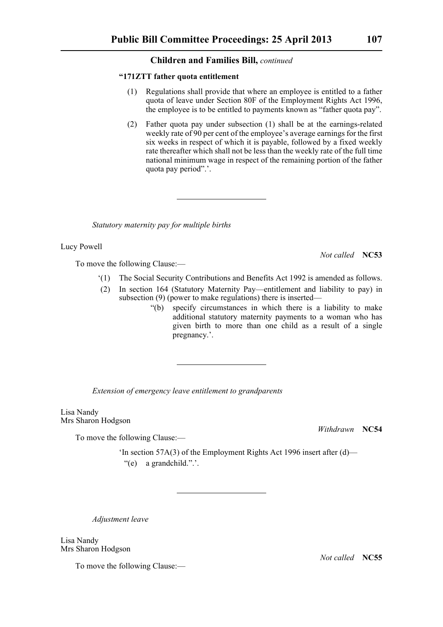## **"171ZTT father quota entitlement**

- (1) Regulations shall provide that where an employee is entitled to a father quota of leave under Section 80F of the Employment Rights Act 1996, the employee is to be entitled to payments known as "father quota pay".
- (2) Father quota pay under subsection (1) shall be at the earnings-related weekly rate of 90 per cent of the employee's average earnings for the first six weeks in respect of which it is payable, followed by a fixed weekly rate thereafter which shall not be less than the weekly rate of the full time national minimum wage in respect of the remaining portion of the father quota pay period".'.

*Statutory maternity pay for multiple births*

Lucy Powell

To move the following Clause:—

*Not called* **NC53**

- '(1) The Social Security Contributions and Benefits Act 1992 is amended as follows.
- (2) In section 164 (Statutory Maternity Pay—entitlement and liability to pay) in subsection (9) (power to make regulations) there is inserted—
	- "(b) specify circumstances in which there is a liability to make additional statutory maternity payments to a woman who has given birth to more than one child as a result of a single pregnancy.'.

*Extension of emergency leave entitlement to grandparents*

Lisa Nandy Mrs Sharon Hodgson

To move the following Clause:—

*Withdrawn* **NC54**

'In section 57A(3) of the Employment Rights Act 1996 insert after (d)— "(e) a grandchild.".'.

*Adjustment leave*

Lisa Nandy Mrs Sharon Hodgson

To move the following Clause:—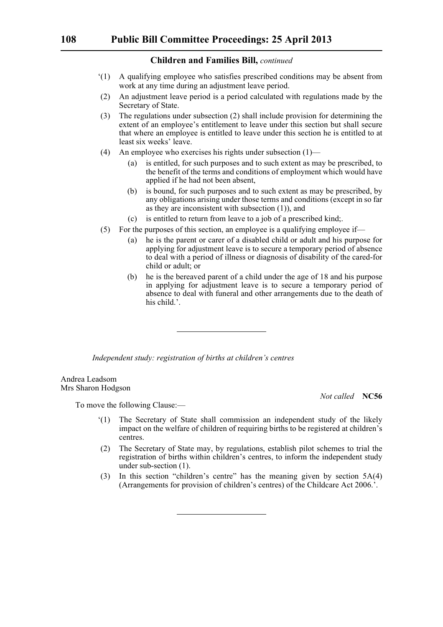- '(1) A qualifying employee who satisfies prescribed conditions may be absent from work at any time during an adjustment leave period.
- (2) An adjustment leave period is a period calculated with regulations made by the Secretary of State.
- (3) The regulations under subsection (2) shall include provision for determining the extent of an employee's entitlement to leave under this section but shall secure that where an employee is entitled to leave under this section he is entitled to at least six weeks' leave.
- (4) An employee who exercises his rights under subsection (1)—
	- (a) is entitled, for such purposes and to such extent as may be prescribed, to the benefit of the terms and conditions of employment which would have applied if he had not been absent,
	- (b) is bound, for such purposes and to such extent as may be prescribed, by any obligations arising under those terms and conditions (except in so far as they are inconsistent with subsection (1)), and
	- (c) is entitled to return from leave to a job of a prescribed kind;.
- (5) For the purposes of this section, an employee is a qualifying employee if—
	- (a) he is the parent or carer of a disabled child or adult and his purpose for applying for adjustment leave is to secure a temporary period of absence to deal with a period of illness or diagnosis of disability of the cared-for child or adult; or
	- (b) he is the bereaved parent of a child under the age of 18 and his purpose in applying for adjustment leave is to secure a temporary period of absence to deal with funeral and other arrangements due to the death of his child.'.

*Independent study: registration of births at children's centres*

Andrea Leadsom Mrs Sharon Hodgson

To move the following Clause:—

- '(1) The Secretary of State shall commission an independent study of the likely impact on the welfare of children of requiring births to be registered at children's centres.
- (2) The Secretary of State may, by regulations, establish pilot schemes to trial the registration of births within children's centres, to inform the independent study under sub-section (1).
- (3) In this section "children's centre" has the meaning given by section 5A(4) (Arrangements for provision of children's centres) of the Childcare Act 2006.'.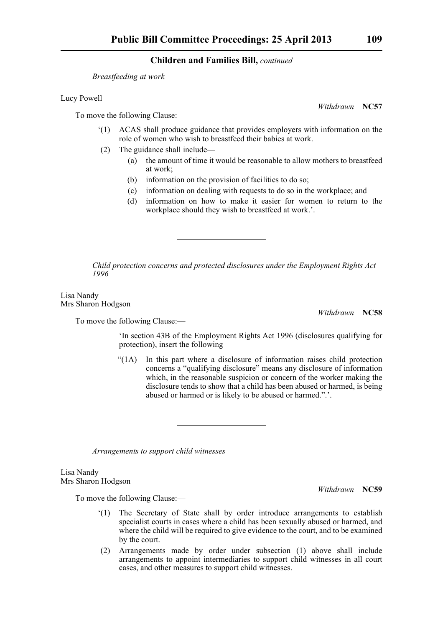*Breastfeeding at work*

Lucy Powell

To move the following Clause:—

- '(1) ACAS shall produce guidance that provides employers with information on the role of women who wish to breastfeed their babies at work.
- (2) The guidance shall include—
	- (a) the amount of time it would be reasonable to allow mothers to breastfeed at work;
	- (b) information on the provision of facilities to do so;
	- (c) information on dealing with requests to do so in the workplace; and
	- (d) information on how to make it easier for women to return to the workplace should they wish to breastfeed at work.'.

*Child protection concerns and protected disclosures under the Employment Rights Act 1996*

Lisa Nandy Mrs Sharon Hodgson

*Withdrawn* **NC58**

To move the following Clause:—

'In section 43B of the Employment Rights Act 1996 (disclosures qualifying for protection), insert the following—

"(1A) In this part where a disclosure of information raises child protection concerns a "qualifying disclosure" means any disclosure of information which, in the reasonable suspicion or concern of the worker making the disclosure tends to show that a child has been abused or harmed, is being abused or harmed or is likely to be abused or harmed.".'.

*Arrangements to support child witnesses*

Lisa Nandy Mrs Sharon Hodgson

*Withdrawn* **NC59**

To move the following Clause:—

- '(1) The Secretary of State shall by order introduce arrangements to establish specialist courts in cases where a child has been sexually abused or harmed, and where the child will be required to give evidence to the court, and to be examined by the court.
- (2) Arrangements made by order under subsection (1) above shall include arrangements to appoint intermediaries to support child witnesses in all court cases, and other measures to support child witnesses.

*Withdrawn* **NC57**